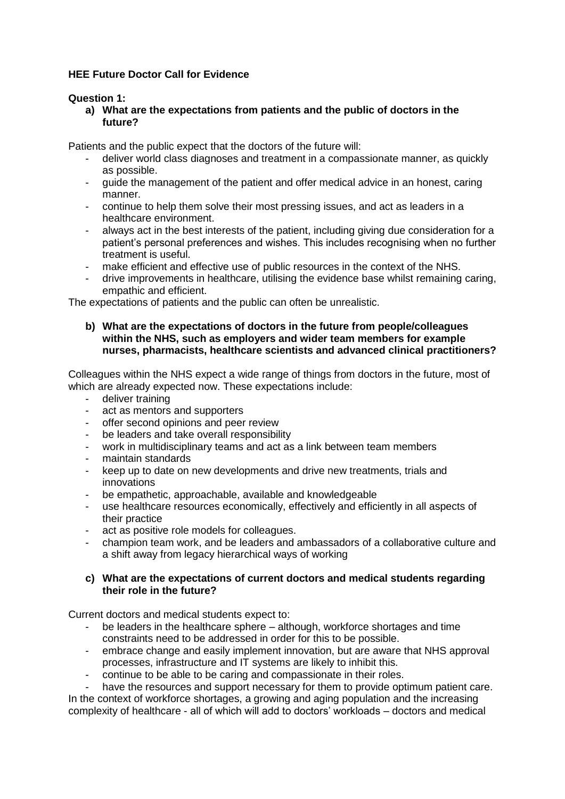# **HEE Future Doctor Call for Evidence**

## **Question 1:**

**a) What are the expectations from patients and the public of doctors in the future?**

Patients and the public expect that the doctors of the future will:

- deliver world class diagnoses and treatment in a compassionate manner, as quickly as possible.
- guide the management of the patient and offer medical advice in an honest, caring manner.
- continue to help them solve their most pressing issues, and act as leaders in a healthcare environment.
- always act in the best interests of the patient, including giving due consideration for a patient's personal preferences and wishes. This includes recognising when no further treatment is useful.
- make efficient and effective use of public resources in the context of the NHS.
- drive improvements in healthcare, utilising the evidence base whilst remaining caring, empathic and efficient.

The expectations of patients and the public can often be unrealistic.

### **b) What are the expectations of doctors in the future from people/colleagues within the NHS, such as employers and wider team members for example nurses, pharmacists, healthcare scientists and advanced clinical practitioners?**

Colleagues within the NHS expect a wide range of things from doctors in the future, most of which are already expected now. These expectations include:

- deliver training
- act as mentors and supporters
- offer second opinions and peer review
- be leaders and take overall responsibility
- work in multidisciplinary teams and act as a link between team members
- maintain standards
- keep up to date on new developments and drive new treatments, trials and innovations
- be empathetic, approachable, available and knowledgeable
- use healthcare resources economically, effectively and efficiently in all aspects of their practice
- act as positive role models for colleagues.
- champion team work, and be leaders and ambassadors of a collaborative culture and a shift away from legacy hierarchical ways of working

## **c) What are the expectations of current doctors and medical students regarding their role in the future?**

Current doctors and medical students expect to:

- be leaders in the healthcare sphere although, workforce shortages and time constraints need to be addressed in order for this to be possible.
- embrace change and easily implement innovation, but are aware that NHS approval processes, infrastructure and IT systems are likely to inhibit this.
- continue to be able to be caring and compassionate in their roles.

have the resources and support necessary for them to provide optimum patient care. In the context of workforce shortages, a growing and aging population and the increasing complexity of healthcare - all of which will add to doctors' workloads – doctors and medical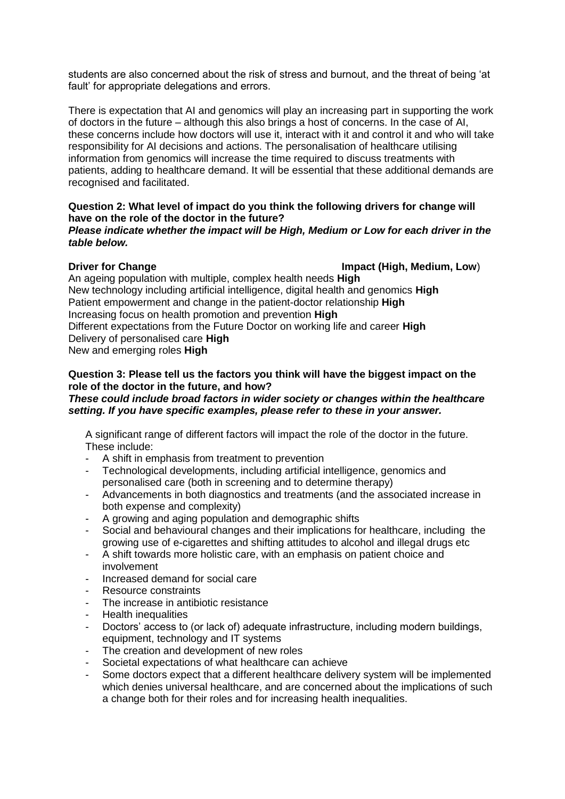students are also concerned about the risk of stress and burnout, and the threat of being 'at fault' for appropriate delegations and errors.

There is expectation that AI and genomics will play an increasing part in supporting the work of doctors in the future – although this also brings a host of concerns. In the case of AI, these concerns include how doctors will use it, interact with it and control it and who will take responsibility for AI decisions and actions. The personalisation of healthcare utilising information from genomics will increase the time required to discuss treatments with patients, adding to healthcare demand. It will be essential that these additional demands are recognised and facilitated.

## **Question 2: What level of impact do you think the following drivers for change will have on the role of the doctor in the future?**

#### *Please indicate whether the impact will be High, Medium or Low for each driver in the table below.*

**Driver for Change Impact (High, Medium, Low**)

An ageing population with multiple, complex health needs **High** New technology including artificial intelligence, digital health and genomics **High** Patient empowerment and change in the patient-doctor relationship **High** Increasing focus on health promotion and prevention **High** Different expectations from the Future Doctor on working life and career **High** Delivery of personalised care **High**

New and emerging roles **High**

## **Question 3: Please tell us the factors you think will have the biggest impact on the role of the doctor in the future, and how?**

## *These could include broad factors in wider society or changes within the healthcare setting. If you have specific examples, please refer to these in your answer.*

A significant range of different factors will impact the role of the doctor in the future. These include:

- A shift in emphasis from treatment to prevention
- Technological developments, including artificial intelligence, genomics and personalised care (both in screening and to determine therapy)
- Advancements in both diagnostics and treatments (and the associated increase in both expense and complexity)
- A growing and aging population and demographic shifts
- Social and behavioural changes and their implications for healthcare, including the growing use of e-cigarettes and shifting attitudes to alcohol and illegal drugs etc
- A shift towards more holistic care, with an emphasis on patient choice and involvement
- Increased demand for social care
- Resource constraints
- The increase in antibiotic resistance
- Health inequalities
- Doctors' access to (or lack of) adequate infrastructure, including modern buildings, equipment, technology and IT systems
- The creation and development of new roles
- Societal expectations of what healthcare can achieve
- Some doctors expect that a different healthcare delivery system will be implemented which denies universal healthcare, and are concerned about the implications of such a change both for their roles and for increasing health inequalities.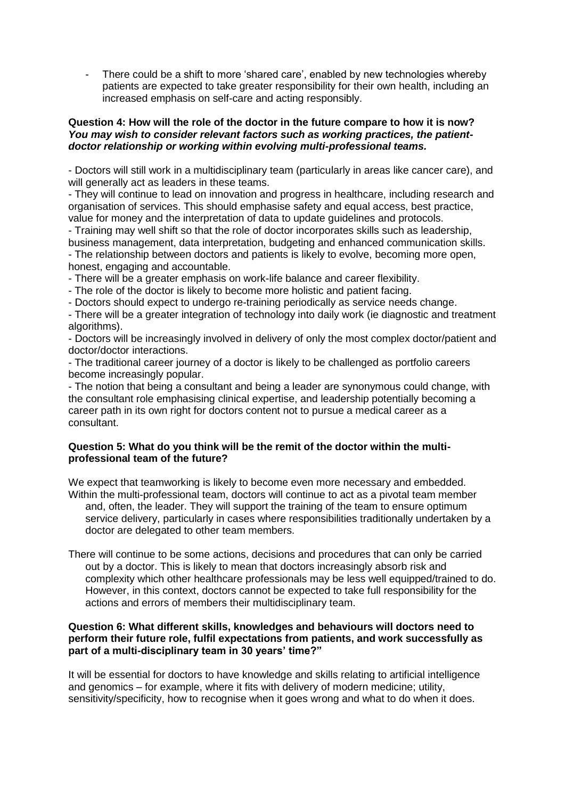There could be a shift to more 'shared care', enabled by new technologies whereby patients are expected to take greater responsibility for their own health, including an increased emphasis on self-care and acting responsibly.

#### **Question 4: How will the role of the doctor in the future compare to how it is now?** *You may wish to consider relevant factors such as working practices, the patientdoctor relationship or working within evolving multi-professional teams.*

- Doctors will still work in a multidisciplinary team (particularly in areas like cancer care), and will generally act as leaders in these teams.

- They will continue to lead on innovation and progress in healthcare, including research and organisation of services. This should emphasise safety and equal access, best practice, value for money and the interpretation of data to update guidelines and protocols.

- Training may well shift so that the role of doctor incorporates skills such as leadership, business management, data interpretation, budgeting and enhanced communication skills.

- The relationship between doctors and patients is likely to evolve, becoming more open, honest, engaging and accountable.

- There will be a greater emphasis on work-life balance and career flexibility.

- The role of the doctor is likely to become more holistic and patient facing.

- Doctors should expect to undergo re-training periodically as service needs change.

- There will be a greater integration of technology into daily work (ie diagnostic and treatment algorithms).

- Doctors will be increasingly involved in delivery of only the most complex doctor/patient and doctor/doctor interactions.

- The traditional career journey of a doctor is likely to be challenged as portfolio careers become increasingly popular.

- The notion that being a consultant and being a leader are synonymous could change, with the consultant role emphasising clinical expertise, and leadership potentially becoming a career path in its own right for doctors content not to pursue a medical career as a consultant.

## **Question 5: What do you think will be the remit of the doctor within the multiprofessional team of the future?**

We expect that teamworking is likely to become even more necessary and embedded. Within the multi-professional team, doctors will continue to act as a pivotal team member and, often, the leader. They will support the training of the team to ensure optimum service delivery, particularly in cases where responsibilities traditionally undertaken by a doctor are delegated to other team members.

There will continue to be some actions, decisions and procedures that can only be carried out by a doctor. This is likely to mean that doctors increasingly absorb risk and complexity which other healthcare professionals may be less well equipped/trained to do. However, in this context, doctors cannot be expected to take full responsibility for the actions and errors of members their multidisciplinary team.

### **Question 6: What different skills, knowledges and behaviours will doctors need to perform their future role, fulfil expectations from patients, and work successfully as part of a multi-disciplinary team in 30 years' time?"**

It will be essential for doctors to have knowledge and skills relating to artificial intelligence and genomics – for example, where it fits with delivery of modern medicine; utility, sensitivity/specificity, how to recognise when it goes wrong and what to do when it does.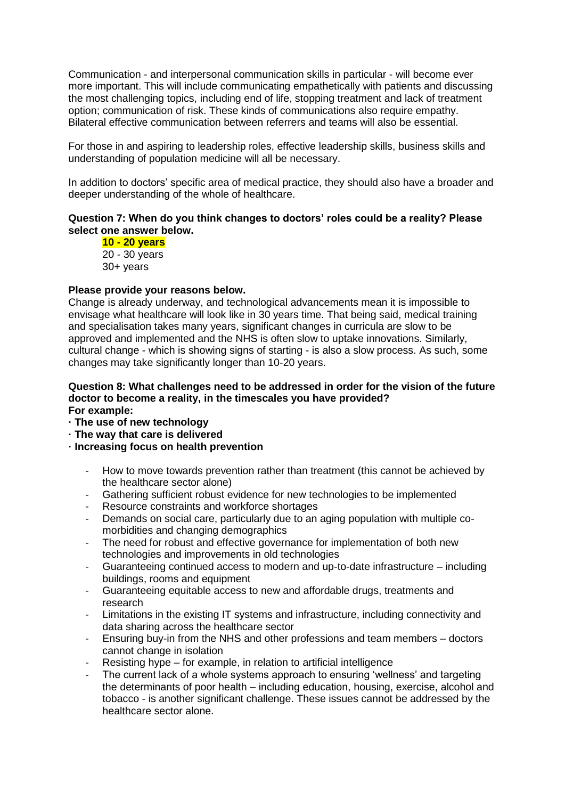Communication - and interpersonal communication skills in particular - will become ever more important. This will include communicating empathetically with patients and discussing the most challenging topics, including end of life, stopping treatment and lack of treatment option; communication of risk. These kinds of communications also require empathy. Bilateral effective communication between referrers and teams will also be essential.

For those in and aspiring to leadership roles, effective leadership skills, business skills and understanding of population medicine will all be necessary.

In addition to doctors' specific area of medical practice, they should also have a broader and deeper understanding of the whole of healthcare.

#### **Question 7: When do you think changes to doctors' roles could be a reality? Please select one answer below.**

**10 - 20 years** 20 - 30 years 30+ years

#### **Please provide your reasons below.**

Change is already underway, and technological advancements mean it is impossible to envisage what healthcare will look like in 30 years time. That being said, medical training and specialisation takes many years, significant changes in curricula are slow to be approved and implemented and the NHS is often slow to uptake innovations. Similarly, cultural change - which is showing signs of starting - is also a slow process. As such, some changes may take significantly longer than 10-20 years.

#### **Question 8: What challenges need to be addressed in order for the vision of the future doctor to become a reality, in the timescales you have provided? For example:**

- **· The use of new technology**
- **· The way that care is delivered**
- **· Increasing focus on health prevention**
	- How to move towards prevention rather than treatment (this cannot be achieved by the healthcare sector alone)
	- Gathering sufficient robust evidence for new technologies to be implemented
	- Resource constraints and workforce shortages
	- Demands on social care, particularly due to an aging population with multiple comorbidities and changing demographics
	- The need for robust and effective governance for implementation of both new technologies and improvements in old technologies
	- Guaranteeing continued access to modern and up-to-date infrastructure including buildings, rooms and equipment
	- Guaranteeing equitable access to new and affordable drugs, treatments and research
	- Limitations in the existing IT systems and infrastructure, including connectivity and data sharing across the healthcare sector
	- Ensuring buy-in from the NHS and other professions and team members doctors cannot change in isolation
	- Resisting hype for example, in relation to artificial intelligence
	- The current lack of a whole systems approach to ensuring 'wellness' and targeting the determinants of poor health – including education, housing, exercise, alcohol and tobacco - is another significant challenge. These issues cannot be addressed by the healthcare sector alone.